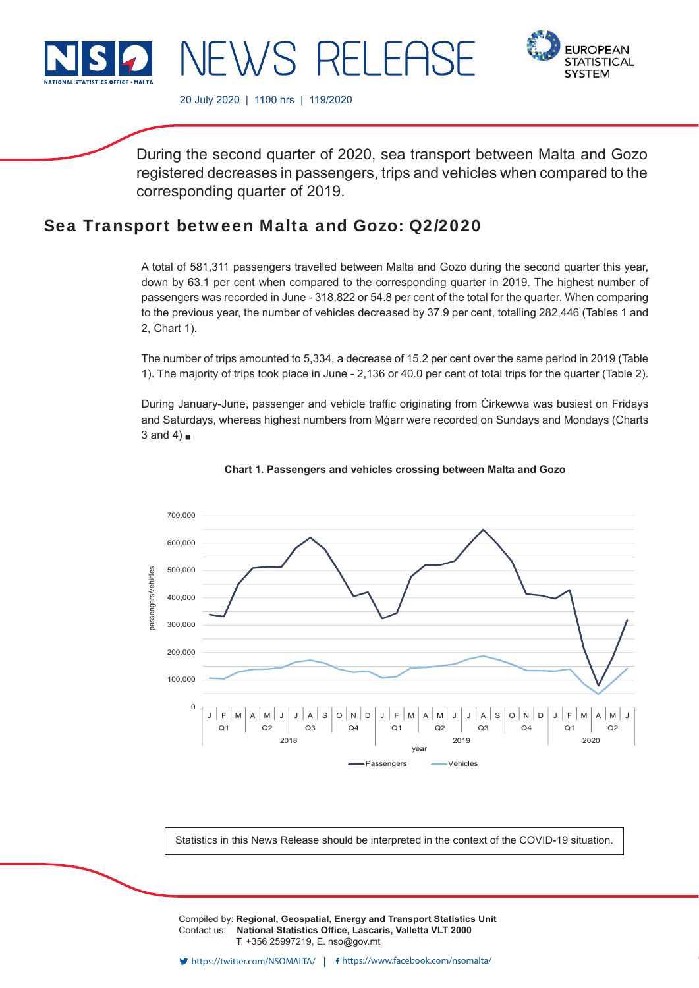

**FUROPEAN STATISTICAL SYSTEM** 

20 July 2020 | 1100 hrs | 119/2020

NEWS RELEAS

During the second quarter of 2020, sea transport between Malta and Gozo registered decreases in passengers, trips and vehicles when compared to the corresponding quarter of 2019.

# Sea Transport between Malta and Gozo: Q2/2020

A total of 581,311 passengers travelled between Malta and Gozo during the second quarter this year, down by 63.1 per cent when compared to the corresponding quarter in 2019. The highest number of passengers was recorded in June - 318,822 or 54.8 per cent of the total for the quarter. When comparing to the previous year, the number of vehicles decreased by 37.9 per cent, totalling 282,446 (Tables 1 and 2, Chart 1).

The number of trips amounted to 5,334, a decrease of 15.2 per cent over the same period in 2019 (Table 1). The majority of trips took place in June - 2,136 or 40.0 per cent of total trips for the quarter (Table 2).

During January-June, passenger and vehicle traffic originating from Cirkewwa was busiest on Fridays and Saturdays, whereas highest numbers from Mġarr were recorded on Sundays and Mondays (Charts  $3$  and  $4$ )





Statistics in this News Release should be interpreted in the context of the COVID-19 situation.

Compiled by: **Regional, Geospatial, Energy and Transport Statistics Unit** Contact us: National Statistics Office, Lascaris, Valletta VLT 2000 T. +356 25997219, E. nso@gov.mt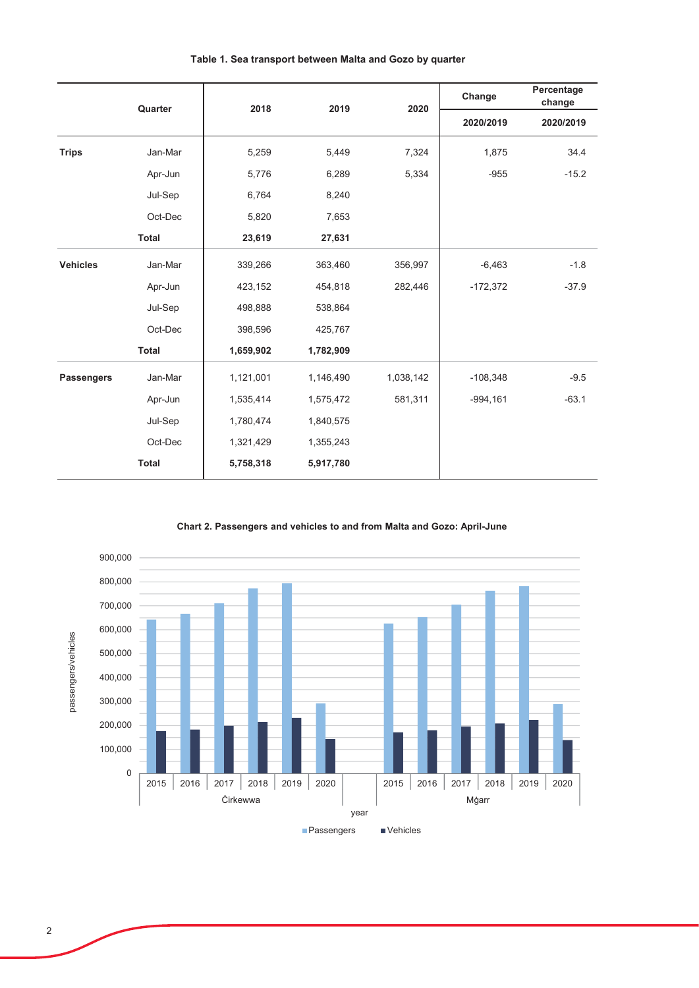|                   | Quarter      | 2018      | 2019      | 2020      | Change      | Percentage<br>change |
|-------------------|--------------|-----------|-----------|-----------|-------------|----------------------|
|                   |              |           |           |           | 2020/2019   | 2020/2019            |
| <b>Trips</b>      | Jan-Mar      | 5,259     | 5,449     | 7,324     | 1,875       | 34.4                 |
|                   | Apr-Jun      | 5,776     | 6,289     | 5,334     | $-955$      | $-15.2$              |
|                   | Jul-Sep      | 6,764     | 8,240     |           |             |                      |
|                   | Oct-Dec      | 5,820     | 7,653     |           |             |                      |
|                   | <b>Total</b> | 23,619    | 27,631    |           |             |                      |
| <b>Vehicles</b>   | Jan-Mar      | 339,266   | 363,460   | 356,997   | $-6,463$    | $-1.8$               |
|                   | Apr-Jun      | 423,152   | 454,818   | 282,446   | $-172,372$  | $-37.9$              |
|                   | Jul-Sep      | 498,888   | 538,864   |           |             |                      |
|                   | Oct-Dec      | 398,596   | 425,767   |           |             |                      |
|                   | <b>Total</b> | 1,659,902 | 1,782,909 |           |             |                      |
| <b>Passengers</b> | Jan-Mar      | 1,121,001 | 1,146,490 | 1,038,142 | $-108,348$  | $-9.5$               |
|                   | Apr-Jun      | 1,535,414 | 1,575,472 | 581,311   | $-994, 161$ | $-63.1$              |
|                   | Jul-Sep      | 1,780,474 | 1,840,575 |           |             |                      |
|                   | Oct-Dec      | 1,321,429 | 1,355,243 |           |             |                      |
|                   | <b>Total</b> | 5,758,318 | 5,917,780 |           |             |                      |

# Table 1. Sea transport between Malta and Gozo by quarter



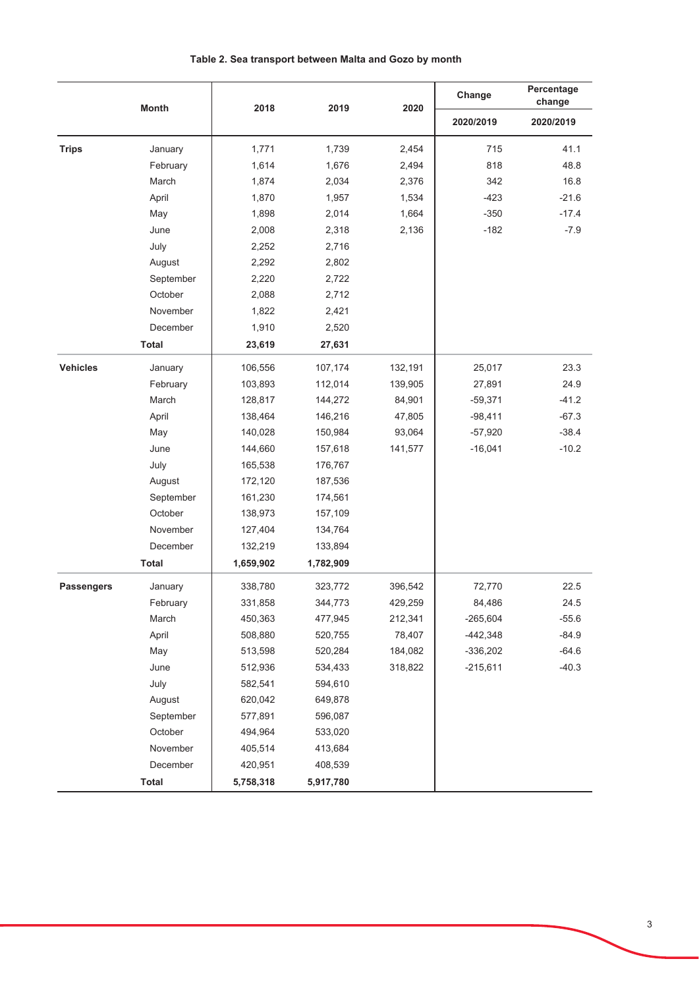|  | Table 2. Sea transport between Malta and Gozo by month |  |  |  |  |
|--|--------------------------------------------------------|--|--|--|--|
|--|--------------------------------------------------------|--|--|--|--|

|                   | <b>Month</b> | 2018      | 2019      | 2020    | Change     | Percentage<br>change |  |
|-------------------|--------------|-----------|-----------|---------|------------|----------------------|--|
|                   |              |           |           |         | 2020/2019  | 2020/2019            |  |
| <b>Trips</b>      | January      | 1,771     | 1,739     | 2,454   | 715        | 41.1                 |  |
|                   | February     | 1,614     | 1,676     | 2,494   | 818        | 48.8                 |  |
|                   | March        | 1,874     | 2,034     | 2,376   | 342        | 16.8                 |  |
|                   | April        | 1,870     | 1,957     | 1,534   | $-423$     | $-21.6$              |  |
|                   | May          | 1,898     | 2,014     | 1,664   | $-350$     | $-17.4$              |  |
|                   | June         | 2,008     | 2,318     | 2,136   | $-182$     | $-7.9$               |  |
|                   | July         | 2,252     | 2,716     |         |            |                      |  |
|                   | August       | 2,292     | 2,802     |         |            |                      |  |
|                   | September    | 2,220     | 2,722     |         |            |                      |  |
|                   | October      | 2,088     | 2,712     |         |            |                      |  |
|                   | November     | 1,822     | 2,421     |         |            |                      |  |
|                   | December     | 1,910     | 2,520     |         |            |                      |  |
|                   | <b>Total</b> | 23,619    | 27,631    |         |            |                      |  |
| <b>Vehicles</b>   | January      | 106,556   | 107,174   | 132,191 | 25,017     | 23.3                 |  |
|                   | February     | 103,893   | 112,014   | 139,905 | 27,891     | 24.9                 |  |
|                   | March        | 128,817   | 144,272   | 84,901  | $-59,371$  | $-41.2$              |  |
|                   | April        | 138,464   | 146,216   | 47,805  | $-98,411$  | $-67.3$              |  |
|                   | May          | 140,028   | 150,984   | 93,064  | $-57,920$  | $-38.4$              |  |
|                   | June         | 144,660   | 157,618   | 141,577 | $-16,041$  | $-10.2$              |  |
|                   | July         | 165,538   | 176,767   |         |            |                      |  |
|                   | August       | 172,120   | 187,536   |         |            |                      |  |
|                   | September    | 161,230   | 174,561   |         |            |                      |  |
|                   | October      | 138,973   | 157,109   |         |            |                      |  |
|                   | November     | 127,404   | 134,764   |         |            |                      |  |
|                   | December     | 132,219   | 133,894   |         |            |                      |  |
|                   | <b>Total</b> | 1,659,902 | 1,782,909 |         |            |                      |  |
| <b>Passengers</b> | January      | 338,780   | 323,772   | 396,542 | 72,770     | 22.5                 |  |
|                   | February     | 331,858   | 344,773   | 429,259 | 84,486     | 24.5                 |  |
|                   | March        | 450,363   | 477,945   | 212,341 | $-265,604$ | $-55.6$              |  |
|                   | April        | 508,880   | 520,755   | 78,407  | $-442,348$ | $-84.9$              |  |
|                   | May          | 513,598   | 520,284   | 184,082 | $-336,202$ | $-64.6$              |  |
|                   | June         | 512,936   | 534,433   | 318,822 | $-215,611$ | $-40.3$              |  |
|                   | July         | 582,541   | 594,610   |         |            |                      |  |
|                   | August       | 620,042   | 649,878   |         |            |                      |  |
|                   | September    | 577,891   | 596,087   |         |            |                      |  |
|                   | October      | 494,964   | 533,020   |         |            |                      |  |
|                   | November     | 405,514   | 413,684   |         |            |                      |  |
|                   | December     | 420,951   | 408,539   |         |            |                      |  |
|                   | <b>Total</b> | 5,758,318 | 5,917,780 |         |            |                      |  |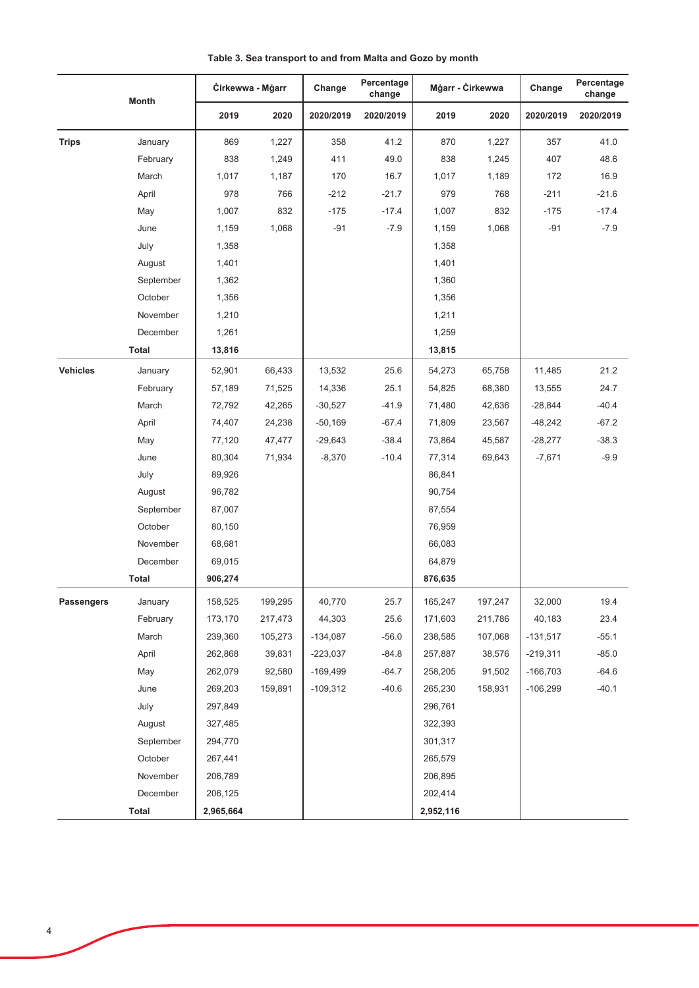|                 | Month        |           | Cirkewwa - Mgarr |            | Percentage<br>Change<br>change |           | Mġarr - Ċirkewwa |            | Percentage<br>change |
|-----------------|--------------|-----------|------------------|------------|--------------------------------|-----------|------------------|------------|----------------------|
|                 |              | 2019      | 2020             | 2020/2019  | 2020/2019                      | 2019      | 2020             | 2020/2019  | 2020/2019            |
| <b>Trips</b>    | January      | 869       | 1,227            | 358        | 41.2                           | 870       | 1,227            | 357        | 41.0                 |
|                 | February     | 838       | 1,249            | 411        | 49.0                           | 838       | 1,245            | 407        | 48.6                 |
|                 | March        | 1,017     | 1,187            | 170        | 16.7                           | 1,017     | 1,189            | 172        | 16.9                 |
|                 | April        | 978       | 766              | $-212$     | $-21.7$                        | 979       | 768              | $-211$     | $-21.6$              |
|                 | May          | 1,007     | 832              | $-175$     | $-17.4$                        | 1,007     | 832              | $-175$     | $-17.4$              |
|                 | June         | 1,159     | 1,068            | $-91$      | $-7.9$                         | 1,159     | 1,068            | $-91$      | $-7.9$               |
|                 | July         | 1,358     |                  |            |                                | 1,358     |                  |            |                      |
|                 | August       | 1,401     |                  |            |                                | 1,401     |                  |            |                      |
|                 | September    | 1,362     |                  |            |                                | 1,360     |                  |            |                      |
|                 | October      | 1,356     |                  |            |                                | 1,356     |                  |            |                      |
|                 | November     | 1,210     |                  |            |                                | 1,211     |                  |            |                      |
|                 | December     | 1,261     |                  |            |                                | 1,259     |                  |            |                      |
|                 | <b>Total</b> | 13,816    |                  |            |                                | 13,815    |                  |            |                      |
| <b>Vehicles</b> | January      | 52,901    | 66,433           | 13,532     | 25.6                           | 54,273    | 65,758           | 11,485     | 21.2                 |
|                 | February     | 57,189    | 71,525           | 14,336     | 25.1                           | 54,825    | 68,380           | 13,555     | 24.7                 |
|                 | March        | 72,792    | 42,265           | $-30,527$  | $-41.9$                        | 71,480    | 42,636           | $-28,844$  | $-40.4$              |
|                 | April        | 74,407    | 24,238           | $-50,169$  | $-67.4$                        | 71,809    | 23,567           | $-48,242$  | $-67.2$              |
|                 | May          | 77,120    | 47,477           | $-29,643$  | $-38.4$                        | 73,864    | 45,587           | $-28,277$  | $-38.3$              |
|                 | June         | 80,304    | 71,934           | $-8,370$   | $-10.4$                        | 77,314    | 69,643           | $-7,671$   | $-9.9$               |
|                 | July         | 89,926    |                  |            |                                | 86,841    |                  |            |                      |
|                 | August       | 96,782    |                  |            |                                | 90,754    |                  |            |                      |
|                 | September    | 87,007    |                  |            |                                | 87,554    |                  |            |                      |
|                 | October      | 80,150    |                  |            |                                | 76,959    |                  |            |                      |
|                 | November     | 68,681    |                  |            |                                | 66,083    |                  |            |                      |
|                 | December     | 69,015    |                  |            |                                | 64,879    |                  |            |                      |
|                 | Total        | 906,274   |                  |            |                                | 876,635   |                  |            |                      |
| Passengers      | January      | 158,525   | 199,295          | 40,770     | 25.7                           | 165,247   | 197,247          | 32,000     | 19.4                 |
|                 | February     | 173,170   | 217,473          | 44,303     | 25.6                           | 171,603   | 211,786          | 40,183     | 23.4                 |
|                 | March        | 239,360   | 105,273          | $-134,087$ | $-56.0$                        | 238,585   | 107,068          | $-131,517$ | $-55.1$              |
|                 | April        | 262,868   | 39,831           | $-223,037$ | $-84.8$                        | 257,887   | 38,576           | $-219,311$ | $-85.0$              |
|                 | May          | 262,079   | 92,580           | $-169,499$ | $-64.7$                        | 258,205   | 91,502           | $-166,703$ | $-64.6$              |
|                 | June         | 269,203   | 159,891          | $-109,312$ | $-40.6$                        | 265,230   | 158,931          | $-106,299$ | $-40.1$              |
|                 | July         | 297,849   |                  |            |                                | 296,761   |                  |            |                      |
|                 | August       | 327,485   |                  |            |                                | 322,393   |                  |            |                      |
|                 | September    | 294,770   |                  |            |                                | 301,317   |                  |            |                      |
|                 | October      | 267,441   |                  |            |                                | 265,579   |                  |            |                      |
|                 | November     | 206,789   |                  |            |                                | 206,895   |                  |            |                      |
|                 | December     | 206,125   |                  |            |                                | 202,414   |                  |            |                      |
|                 | Total        | 2,965,664 |                  |            |                                | 2,952,116 |                  |            |                      |

Table 3. Sea transport to and from Malta and Gozo by month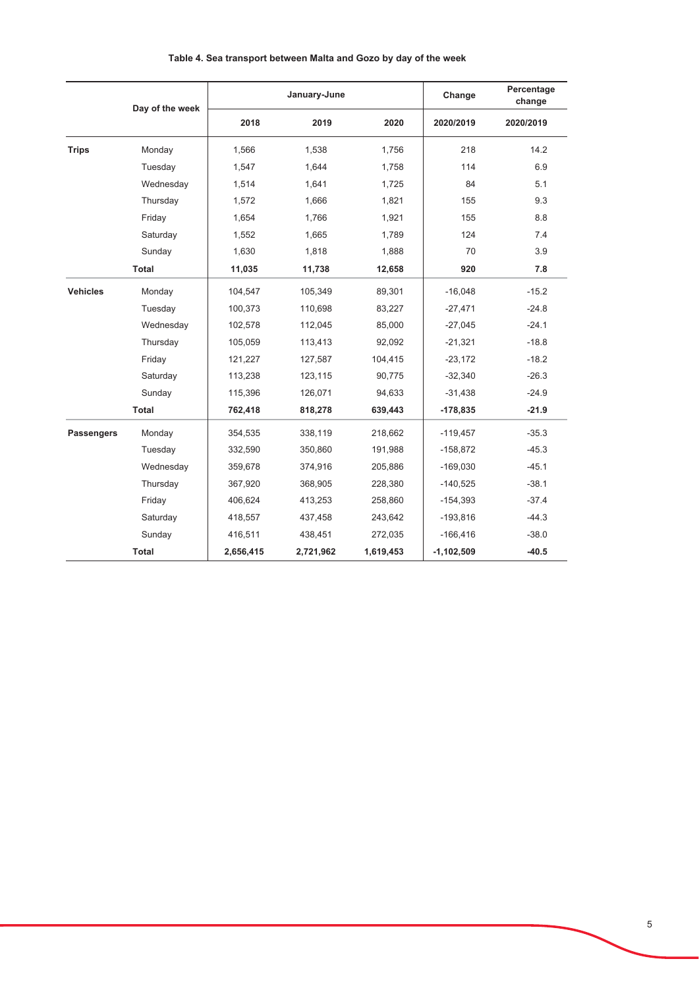|                   | Day of the week |           | January-June |           | Change       | Percentage<br>change |
|-------------------|-----------------|-----------|--------------|-----------|--------------|----------------------|
|                   |                 | 2018      | 2019         | 2020      | 2020/2019    | 2020/2019            |
| <b>Trips</b>      | Monday          | 1.566     | 1.538        | 1.756     | 218          | 14.2                 |
|                   | Tuesday         | 1,547     | 1,644        | 1,758     | 114          | 6.9                  |
|                   | Wednesday       | 1,514     | 1.641        | 1.725     | 84           | 5.1                  |
|                   | Thursday        | 1,572     | 1,666        | 1,821     | 155          | 9.3                  |
|                   | Friday          | 1,654     | 1,766        | 1,921     | 155          | 8.8                  |
|                   | Saturday        | 1,552     | 1,665        | 1,789     | 124          | 7.4                  |
|                   | Sunday          | 1,630     | 1,818        | 1,888     | 70           | 3.9                  |
|                   | <b>Total</b>    | 11,035    | 11,738       | 12,658    | 920          | 7.8                  |
| <b>Vehicles</b>   | Monday          | 104,547   | 105,349      | 89,301    | $-16,048$    | $-15.2$              |
|                   | Tuesday         | 100,373   | 110,698      | 83,227    | $-27,471$    | $-24.8$              |
|                   | Wednesday       | 102,578   | 112,045      | 85,000    | $-27,045$    | $-24.1$              |
|                   | Thursday        | 105,059   | 113,413      | 92,092    | $-21,321$    | $-18.8$              |
|                   | Friday          | 121,227   | 127,587      | 104,415   | $-23,172$    | $-18.2$              |
|                   | Saturday        | 113,238   | 123,115      | 90,775    | $-32,340$    | $-26.3$              |
|                   | Sunday          | 115,396   | 126,071      | 94,633    | $-31,438$    | $-24.9$              |
|                   | Total           | 762,418   | 818,278      | 639,443   | $-178,835$   | $-21.9$              |
| <b>Passengers</b> | Monday          | 354,535   | 338,119      | 218,662   | $-119,457$   | $-35.3$              |
|                   | Tuesday         | 332,590   | 350,860      | 191,988   | $-158,872$   | $-45.3$              |
|                   | Wednesday       | 359,678   | 374,916      | 205,886   | $-169,030$   | $-45.1$              |
|                   | Thursday        | 367,920   | 368,905      | 228,380   | $-140,525$   | $-38.1$              |
|                   | Friday          | 406,624   | 413,253      | 258,860   | $-154,393$   | $-37.4$              |
|                   | Saturday        | 418,557   | 437,458      | 243,642   | $-193,816$   | $-44.3$              |
|                   | Sunday          | 416,511   | 438,451      | 272,035   | $-166,416$   | $-38.0$              |
|                   | <b>Total</b>    | 2,656,415 | 2,721,962    | 1,619,453 | $-1,102,509$ | $-40.5$              |

## Table 4. Sea transport between Malta and Gozo by day of the week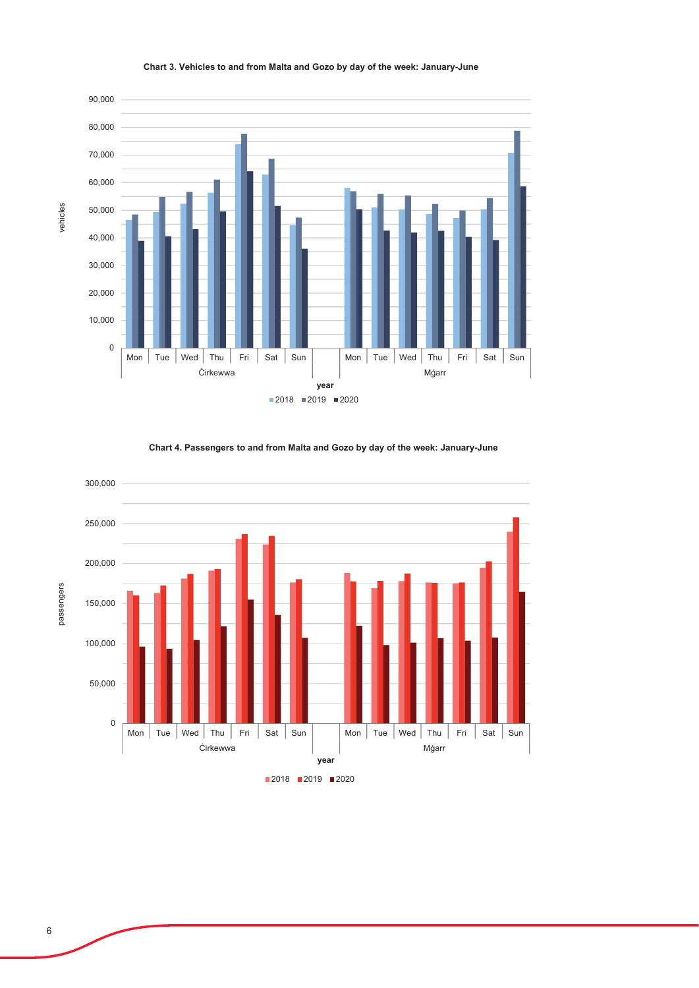

### Chart 3. Vehicles to and from Malta and Gozo by day of the week: January-June



Chart 4. Passengers to and from Malta and Gozo by day of the week: January-June

 $2018$  2019 2020

 $\text{year}$